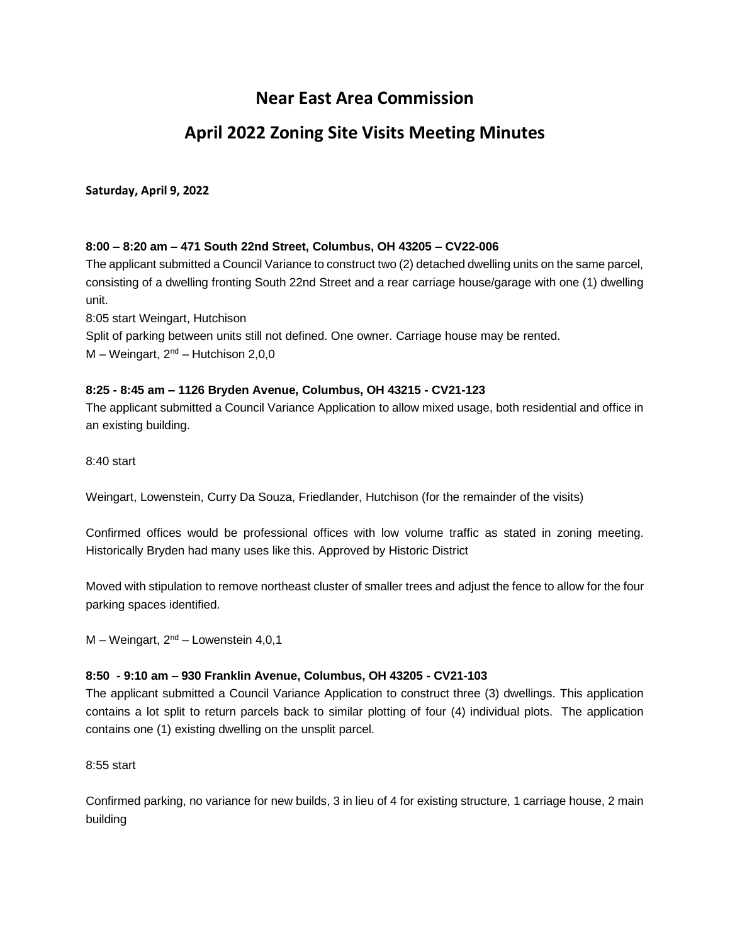# **Near East Area Commission**

# **April 2022 Zoning Site Visits Meeting Minutes**

## **Saturday, April 9, 2022**

## **8:00 – 8:20 am – 471 South 22nd Street, Columbus, OH 43205 – CV22-006**

The applicant submitted a Council Variance to construct two (2) detached dwelling units on the same parcel, consisting of a dwelling fronting South 22nd Street and a rear carriage house/garage with one (1) dwelling unit.

8:05 start Weingart, Hutchison

Split of parking between units still not defined. One owner. Carriage house may be rented.  $M - Weingart$ ,  $2^{nd} - Hutchison$  2,0,0

## **8:25 - 8:45 am – 1126 Bryden Avenue, Columbus, OH 43215 - CV21-123**

The applicant submitted a Council Variance Application to allow mixed usage, both residential and office in an existing building.

8:40 start

Weingart, Lowenstein, Curry Da Souza, Friedlander, Hutchison (for the remainder of the visits)

Confirmed offices would be professional offices with low volume traffic as stated in zoning meeting. Historically Bryden had many uses like this. Approved by Historic District

Moved with stipulation to remove northeast cluster of smaller trees and adjust the fence to allow for the four parking spaces identified.

 $M - Weingart$ ,  $2<sup>nd</sup> - Lowenstein 4,0,1$ 

## **8:50 - 9:10 am – 930 Franklin Avenue, Columbus, OH 43205 - CV21-103**

The applicant submitted a Council Variance Application to construct three (3) dwellings. This application contains a lot split to return parcels back to similar plotting of four (4) individual plots. The application contains one (1) existing dwelling on the unsplit parcel.

8:55 start

Confirmed parking, no variance for new builds, 3 in lieu of 4 for existing structure, 1 carriage house, 2 main building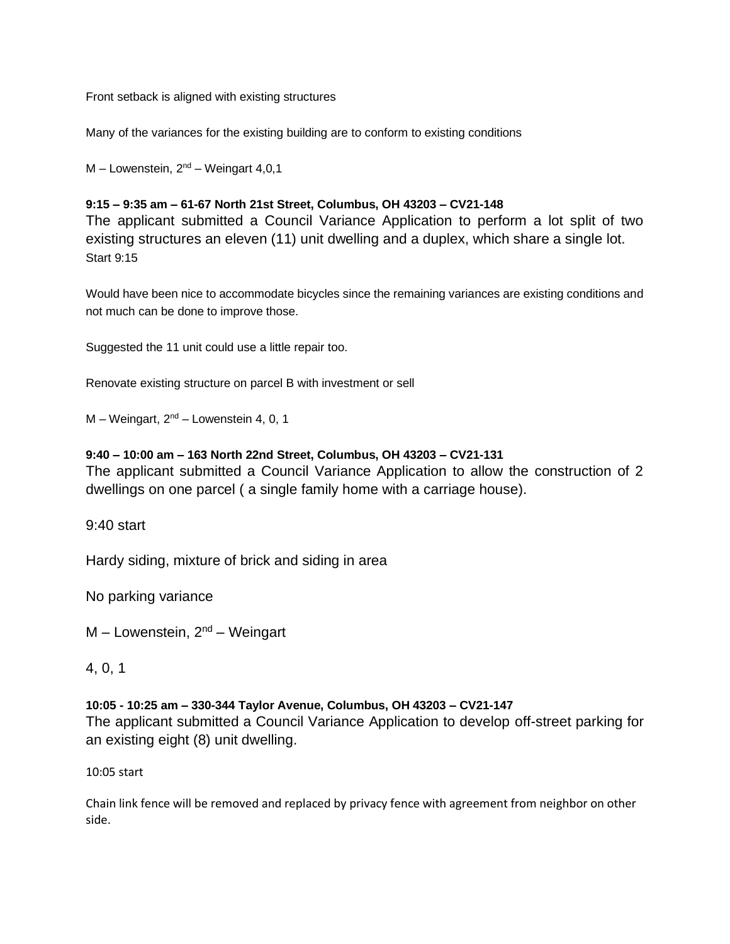Front setback is aligned with existing structures

Many of the variances for the existing building are to conform to existing conditions

 $M$  – Lowenstein,  $2<sup>nd</sup>$  – Weingart 4,0,1

## **9:15 – 9:35 am – 61-67 North 21st Street, Columbus, OH 43203 – CV21-148**

The applicant submitted a Council Variance Application to perform a lot split of two existing structures an eleven (11) unit dwelling and a duplex, which share a single lot. Start 9:15

Would have been nice to accommodate bicycles since the remaining variances are existing conditions and not much can be done to improve those.

Suggested the 11 unit could use a little repair too.

Renovate existing structure on parcel B with investment or sell

 $M - Weingart$ ,  $2<sup>nd</sup> - Lowenstein 4, 0, 1$ 

## **9:40 – 10:00 am – 163 North 22nd Street, Columbus, OH 43203 – CV21-131**

The applicant submitted a Council Variance Application to allow the construction of 2 dwellings on one parcel ( a single family home with a carriage house).

9:40 start

Hardy siding, mixture of brick and siding in area

No parking variance

 $M$  – Lowenstein,  $2<sup>nd</sup>$  – Weingart

4, 0, 1

## **10:05 - 10:25 am – 330-344 Taylor Avenue, Columbus, OH 43203 – CV21-147**

The applicant submitted a Council Variance Application to develop off-street parking for an existing eight (8) unit dwelling.

10:05 start

Chain link fence will be removed and replaced by privacy fence with agreement from neighbor on other side.